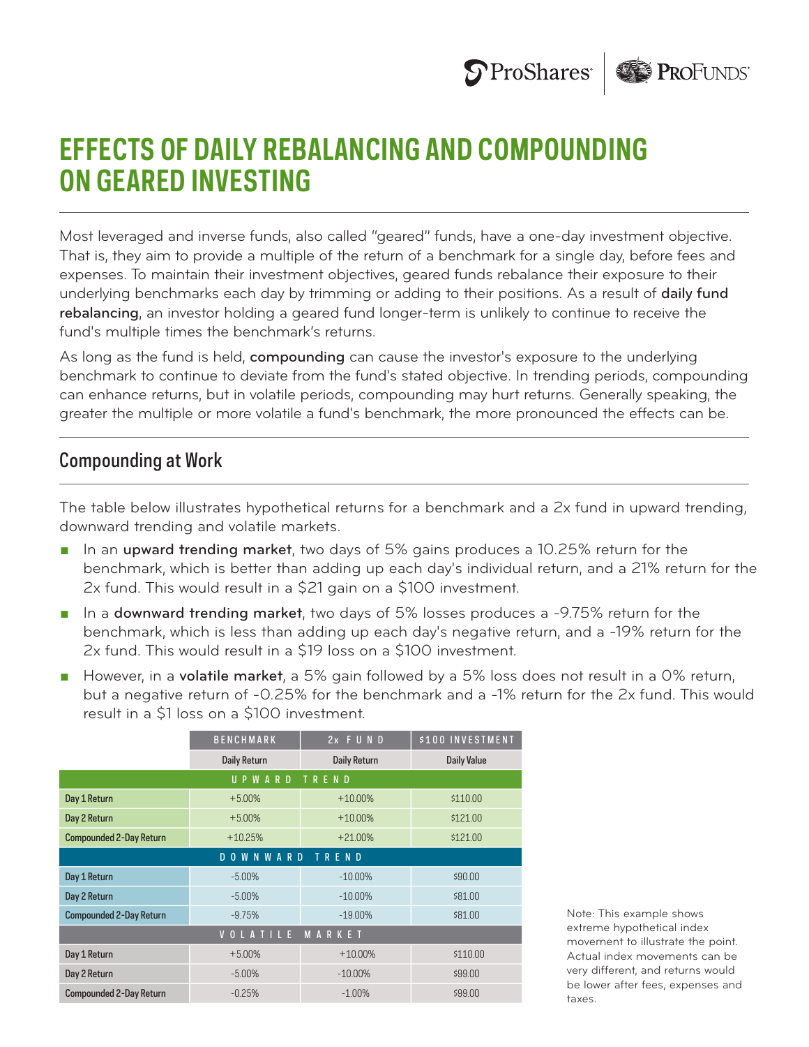



## **EFFECTS OF DAILY REBALANCING AND COMPOUNDING ON GEARED INVESTING**

Most leveraged and inverse funds, also called "geared" funds, have a one-day investment objective. That is, they aim to provide a multiple of the return of a benchmark for a single day, before fees and expenses. To maintain their investment objectives, geared funds rebalance their exposure to their underlying benchmarks each day by trimming or adding to their positions. As a result of daily fund rebalancing, an investor holding a geared fund longer-term is unlikely to continue to receive the fund's multiple times the benchmark's returns.

As long as the fund is held, compounding can cause the investor's exposure to the underlying benchmark to continue to deviate from the fund's stated objective. In trending periods, compounding can enhance returns, but in volatile periods, compounding may hurt returns. Generally speaking, the greater the multiple or more volatile a fund's benchmark, the more pronounced the effects can be.

## Compounding at Work

The table below illustrates hypothetical returns for a benchmark and a 2x fund in upward trending, downward trending and volatile markets.

- **n** In an upward trending market, two days of 5% gains produces a 10.25% return for the benchmark, which is better than adding up each day's individual return, and a 21% return for the 2x fund. This would result in a \$21 gain on a \$100 investment.
- **F** In a **downward trending market**, two days of 5% losses produces a -9.75% return for the benchmark, which is less than adding up each day's negative return, and a -19% return for the 2x fund. This would result in a \$19 loss on a \$100 investment.
- However, in a volatile market, a 5% gain followed by a 5% loss does not result in a 0% return, but a negative return of -0.25% for the benchmark and a -1% return for the 2x fund. This would result in a \$1 loss on a \$100 investment.

|                                          | <b>BENCHMARK</b>    | 2x FUND             | \$100 INVESTMENT   |
|------------------------------------------|---------------------|---------------------|--------------------|
|                                          | <b>Daily Return</b> | <b>Daily Return</b> | <b>Daily Value</b> |
| UPWARD<br>TREND                          |                     |                     |                    |
| Day 1 Return                             | $+5.00\%$           | $+10.00\%$          | \$110.00           |
| Day 2 Return                             | $+5.00%$            | $+10.00\%$          | \$121.00           |
| <b>Compounded 2-Day Return</b>           | $+10.25%$           | $+21.00%$           | \$121.00           |
| <b>WNWARD</b><br>TREND<br>D <sub>0</sub> |                     |                     |                    |
| Day 1 Return                             | $-5.00%$            | $-10.00\%$          | \$90.00            |
| Day 2 Return                             | $-5.00%$            | $-10.00\%$          | \$81.00            |
| <b>Compounded 2-Day Return</b>           | $-9.75%$            | $-19.00\%$          | \$81.00            |
| VOLATILE<br>MARKET                       |                     |                     |                    |
| Day 1 Return                             | $+5.00%$            | $+10.00\%$          | \$110.00           |
| Day 2 Return                             | $-5.00\%$           | $-10.00\%$          | \$99.00            |
| <b>Compounded 2-Day Return</b>           | $-0.25%$            | $-1.00%$            | \$99.00            |

Note: This example shows extreme hypothetical index movement to illustrate the point. Actual index movements can be very different, and returns would be lower after fees, expenses and taxes.